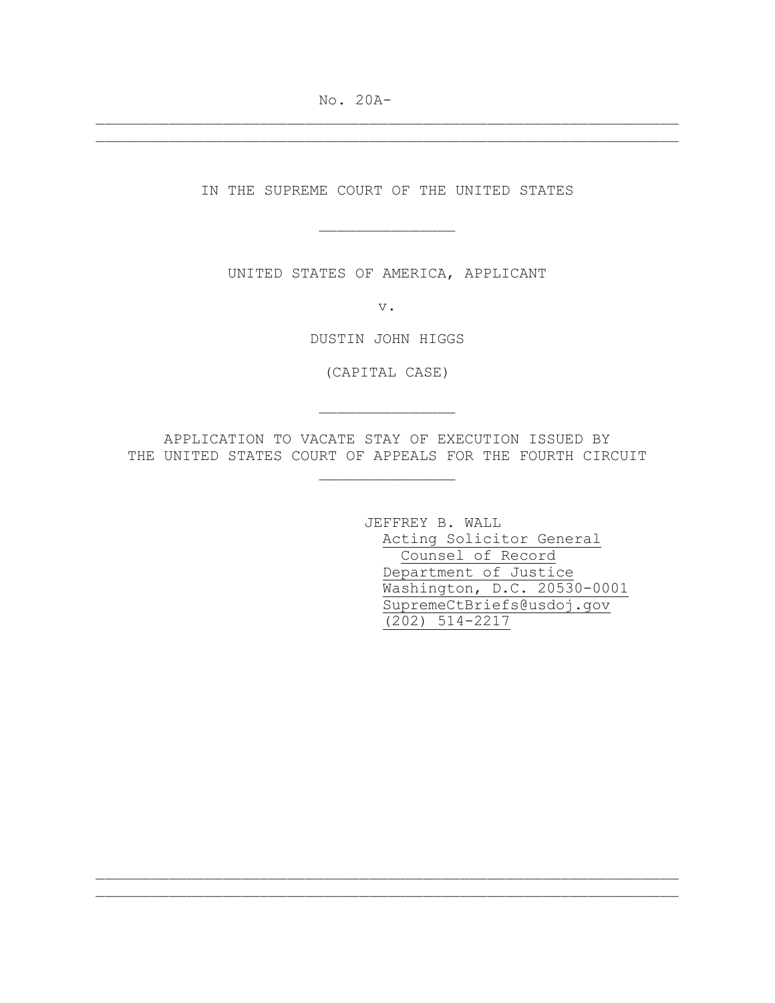No. 20A-

IN THE SUPREME COURT OF THE UNITED STATES

\_\_\_\_\_\_\_\_\_\_\_\_\_\_\_

\_\_\_\_\_\_\_\_\_\_\_\_\_\_\_\_\_\_\_\_\_\_\_\_\_\_\_\_\_\_\_\_\_\_\_\_\_\_\_\_\_\_\_\_\_\_\_\_\_\_\_\_\_\_\_\_\_\_\_\_\_\_\_\_ \_\_\_\_\_\_\_\_\_\_\_\_\_\_\_\_\_\_\_\_\_\_\_\_\_\_\_\_\_\_\_\_\_\_\_\_\_\_\_\_\_\_\_\_\_\_\_\_\_\_\_\_\_\_\_\_\_\_\_\_\_\_\_\_

UNITED STATES OF AMERICA, APPLICANT

v.

DUSTIN JOHN HIGGS

(CAPITAL CASE)

\_\_\_\_\_\_\_\_\_\_\_\_\_\_\_

APPLICATION TO VACATE STAY OF EXECUTION ISSUED BY THE UNITED STATES COURT OF APPEALS FOR THE FOURTH CIRCUIT

\_\_\_\_\_\_\_\_\_\_\_\_\_\_\_

\_\_\_\_\_\_\_\_\_\_\_\_\_\_\_\_\_\_\_\_\_\_\_\_\_\_\_\_\_\_\_\_\_\_\_\_\_\_\_\_\_\_\_\_\_\_\_\_\_\_\_\_\_\_\_\_\_\_\_\_\_\_\_\_ \_\_\_\_\_\_\_\_\_\_\_\_\_\_\_\_\_\_\_\_\_\_\_\_\_\_\_\_\_\_\_\_\_\_\_\_\_\_\_\_\_\_\_\_\_\_\_\_\_\_\_\_\_\_\_\_\_\_\_\_\_\_\_\_

JEFFREY B. WALL Acting Solicitor General Counsel of Record Department of Justice Washington, D.C. 20530-0001 SupremeCtBriefs@usdoj.gov (202) 514-2217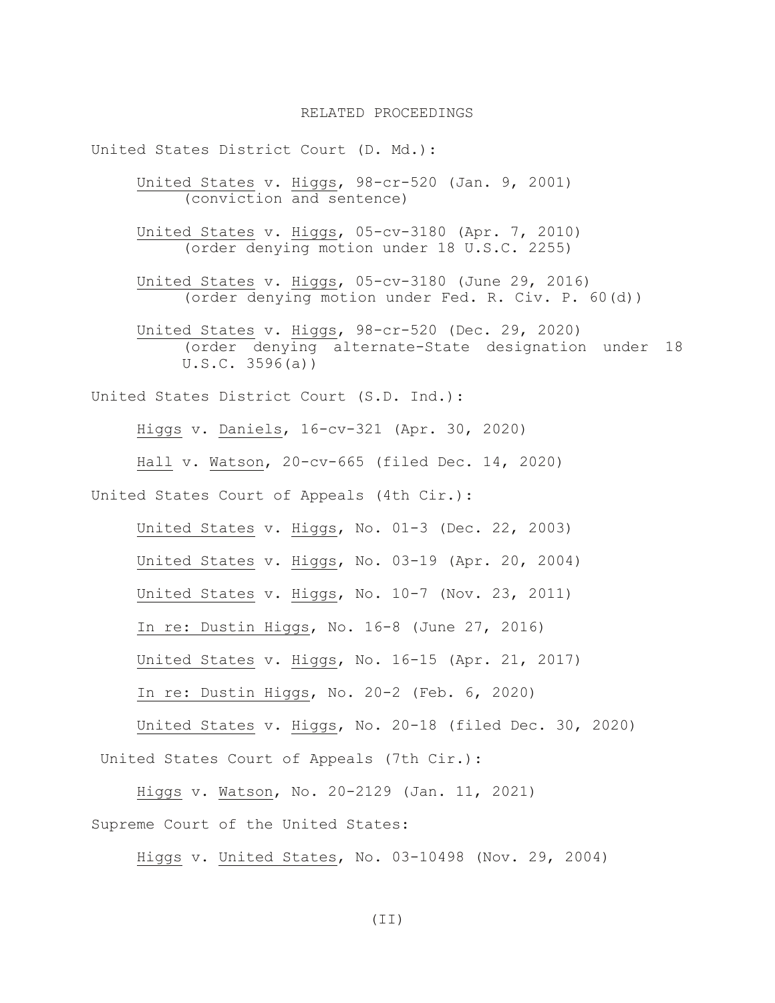United States District Court (D. Md.): United States v. Higgs, 98-cr-520 (Jan. 9, 2001) (conviction and sentence) United States v. Higgs, 05-cv-3180 (Apr. 7, 2010) (order denying motion under 18 U.S.C. 2255) United States v. Higgs, 05-cv-3180 (June 29, 2016) (order denying motion under Fed. R. Civ. P. 60(d)) United States v. Higgs, 98-cr-520 (Dec. 29, 2020) (order denying alternate-State designation under 18 U.S.C. 3596(a)) United States District Court (S.D. Ind.): Higgs v. Daniels, 16-cv-321 (Apr. 30, 2020) Hall v. Watson, 20-cv-665 (filed Dec. 14, 2020) United States Court of Appeals (4th Cir.): United States v. Higgs, No. 01-3 (Dec. 22, 2003) United States v. Higgs, No. 03-19 (Apr. 20, 2004) United States v. Higgs, No. 10-7 (Nov. 23, 2011) In re: Dustin Higgs, No. 16-8 (June 27, 2016) United States v. Higgs, No. 16-15 (Apr. 21, 2017) In re: Dustin Higgs, No. 20-2 (Feb. 6, 2020) United States v. Higgs, No. 20-18 (filed Dec. 30, 2020) United States Court of Appeals (7th Cir.): Higgs v. Watson, No. 20-2129 (Jan. 11, 2021)

Supreme Court of the United States:

Higgs v. United States, No. 03-10498 (Nov. 29, 2004)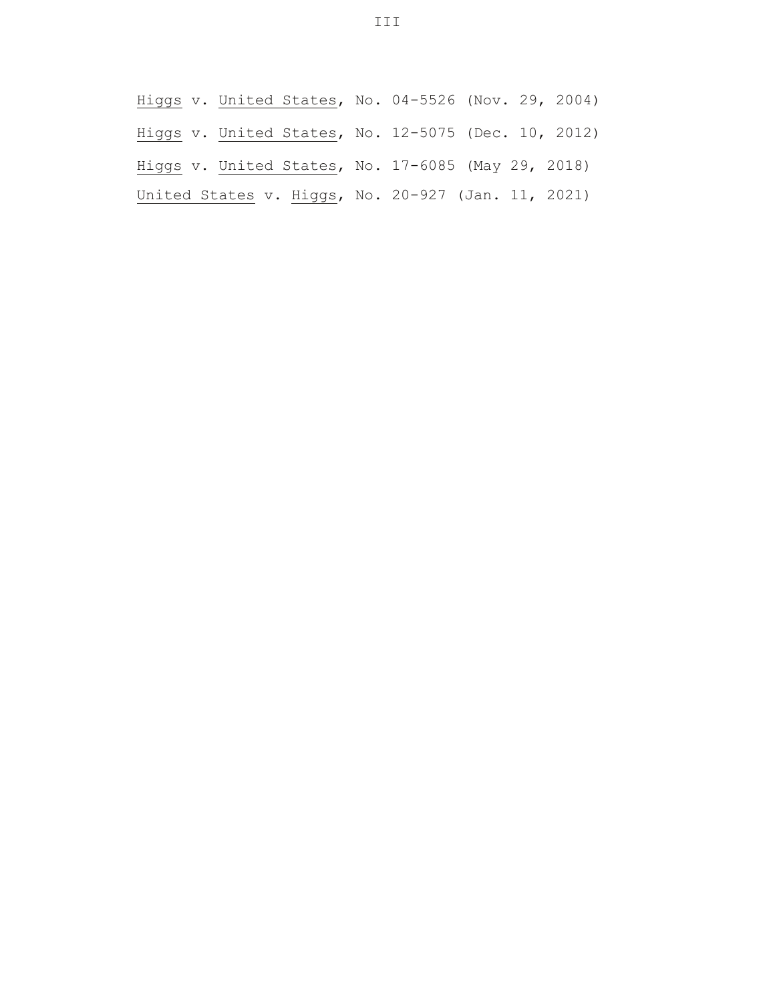Higgs v. United States, No. 04-5526 (Nov. 29, 2004) Higgs v. United States, No. 12-5075 (Dec. 10, 2012) Higgs v. United States, No. 17-6085 (May 29, 2018) United States v. Higgs, No. 20-927 (Jan. 11, 2021)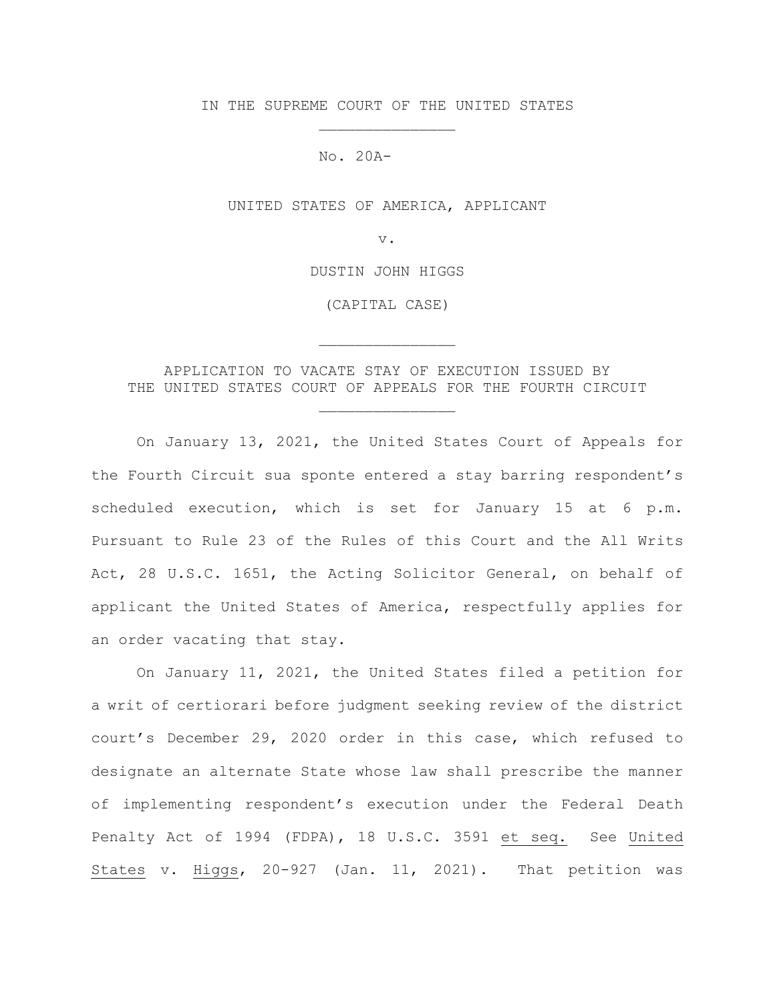IN THE SUPREME COURT OF THE UNITED STATES \_\_\_\_\_\_\_\_\_\_\_\_\_\_\_

No. 20A-\_\_\_\_\_\_\_

UNITED STATES OF AMERICA, APPLICANT

v.

DUSTIN JOHN HIGGS

(CAPITAL CASE)

\_\_\_\_\_\_\_\_\_\_\_\_\_\_\_

APPLICATION TO VACATE STAY OF EXECUTION ISSUED BY THE UNITED STATES COURT OF APPEALS FOR THE FOURTH CIRCUIT

\_\_\_\_\_\_\_\_\_\_\_\_\_\_\_

On January 13, 2021, the United States Court of Appeals for the Fourth Circuit sua sponte entered a stay barring respondent's scheduled execution, which is set for January 15 at 6 p.m. Pursuant to Rule 23 of the Rules of this Court and the All Writs Act, 28 U.S.C. 1651, the Acting Solicitor General, on behalf of applicant the United States of America, respectfully applies for an order vacating that stay.

On January 11, 2021, the United States filed a petition for a writ of certiorari before judgment seeking review of the district court's December 29, 2020 order in this case, which refused to designate an alternate State whose law shall prescribe the manner of implementing respondent's execution under the Federal Death Penalty Act of 1994 (FDPA), 18 U.S.C. 3591 et seq. See United States v. Higgs, 20-927 (Jan. 11, 2021). That petition was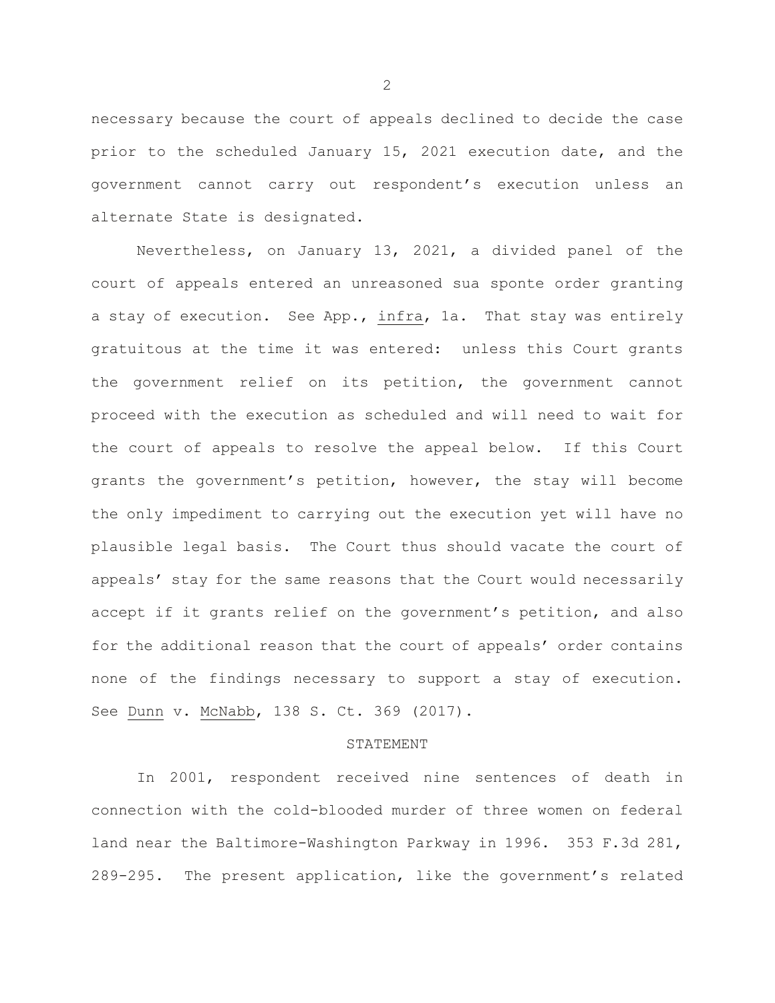necessary because the court of appeals declined to decide the case prior to the scheduled January 15, 2021 execution date, and the government cannot carry out respondent's execution unless an alternate State is designated.

Nevertheless, on January 13, 2021, a divided panel of the court of appeals entered an unreasoned sua sponte order granting a stay of execution. See App., infra, 1a. That stay was entirely gratuitous at the time it was entered: unless this Court grants the government relief on its petition, the government cannot proceed with the execution as scheduled and will need to wait for the court of appeals to resolve the appeal below. If this Court grants the government's petition, however, the stay will become the only impediment to carrying out the execution yet will have no plausible legal basis. The Court thus should vacate the court of appeals' stay for the same reasons that the Court would necessarily accept if it grants relief on the government's petition, and also for the additional reason that the court of appeals' order contains none of the findings necessary to support a stay of execution. See Dunn v. McNabb, 138 S. Ct. 369 (2017).

## STATEMENT

In 2001, respondent received nine sentences of death in connection with the cold-blooded murder of three women on federal land near the Baltimore-Washington Parkway in 1996. 353 F.3d 281, 289-295. The present application, like the government's related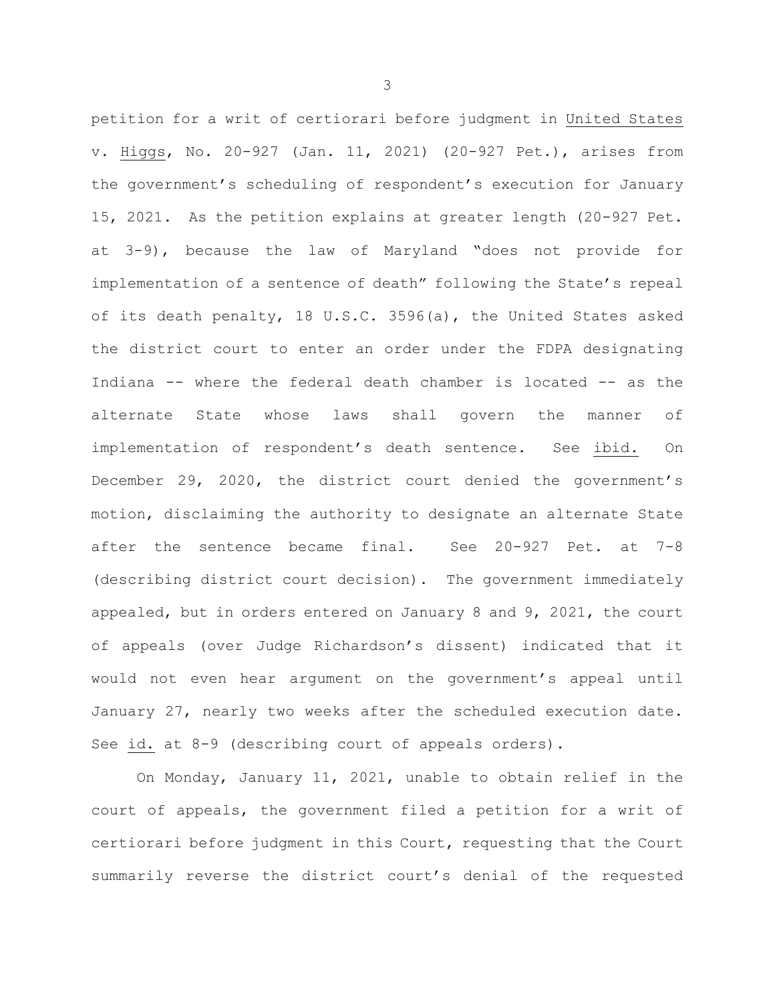petition for a writ of certiorari before judgment in United States v. Higgs, No. 20-927 (Jan. 11, 2021) (20-927 Pet.), arises from the government's scheduling of respondent's execution for January 15, 2021. As the petition explains at greater length (20-927 Pet. at 3-9), because the law of Maryland "does not provide for implementation of a sentence of death" following the State's repeal of its death penalty, 18 U.S.C. 3596(a), the United States asked the district court to enter an order under the FDPA designating Indiana -- where the federal death chamber is located -- as the alternate State whose laws shall govern the manner of implementation of respondent's death sentence. See ibid. On December 29, 2020, the district court denied the government's motion, disclaiming the authority to designate an alternate State after the sentence became final. See 20-927 Pet. at 7-8 (describing district court decision). The government immediately appealed, but in orders entered on January 8 and 9, 2021, the court of appeals (over Judge Richardson's dissent) indicated that it would not even hear argument on the government's appeal until January 27, nearly two weeks after the scheduled execution date. See id. at 8-9 (describing court of appeals orders).

On Monday, January 11, 2021, unable to obtain relief in the court of appeals, the government filed a petition for a writ of certiorari before judgment in this Court, requesting that the Court summarily reverse the district court's denial of the requested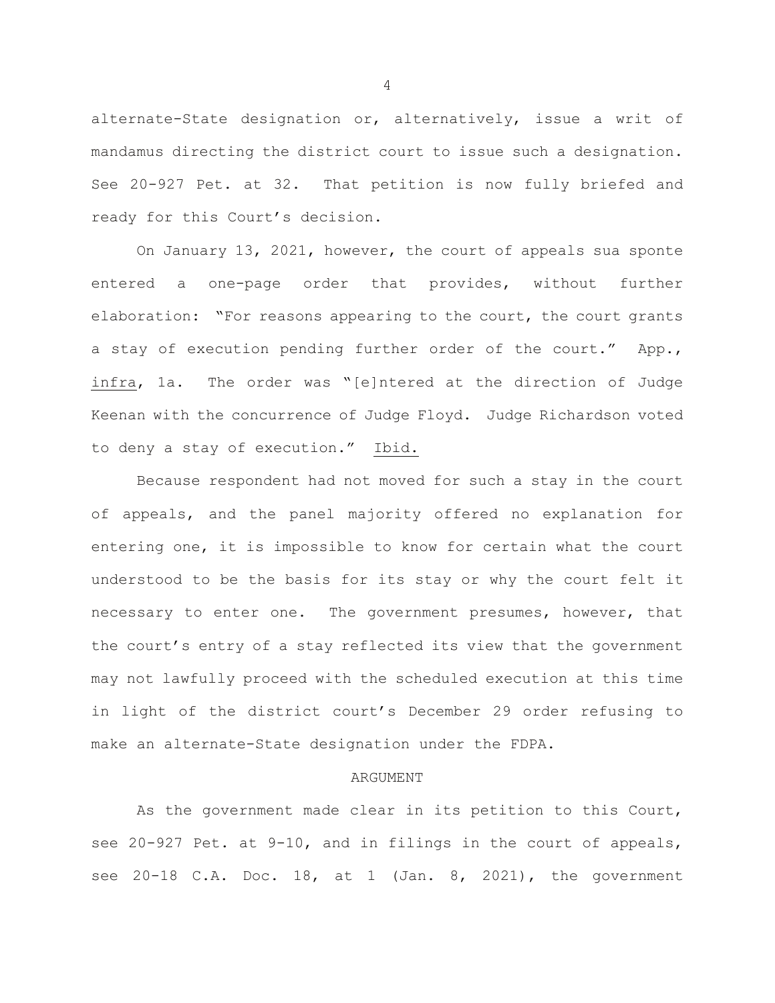alternate-State designation or, alternatively, issue a writ of mandamus directing the district court to issue such a designation. See 20-927 Pet. at 32. That petition is now fully briefed and ready for this Court's decision.

On January 13, 2021, however, the court of appeals sua sponte entered a one-page order that provides, without further elaboration: "For reasons appearing to the court, the court grants a stay of execution pending further order of the court." App., infra, 1a. The order was "[e]ntered at the direction of Judge Keenan with the concurrence of Judge Floyd. Judge Richardson voted to deny a stay of execution." Ibid.

Because respondent had not moved for such a stay in the court of appeals, and the panel majority offered no explanation for entering one, it is impossible to know for certain what the court understood to be the basis for its stay or why the court felt it necessary to enter one. The government presumes, however, that the court's entry of a stay reflected its view that the government may not lawfully proceed with the scheduled execution at this time in light of the district court's December 29 order refusing to make an alternate-State designation under the FDPA.

## ARGUMENT

As the government made clear in its petition to this Court, see 20-927 Pet. at 9-10, and in filings in the court of appeals, see 20-18 C.A. Doc. 18, at 1 (Jan. 8, 2021), the government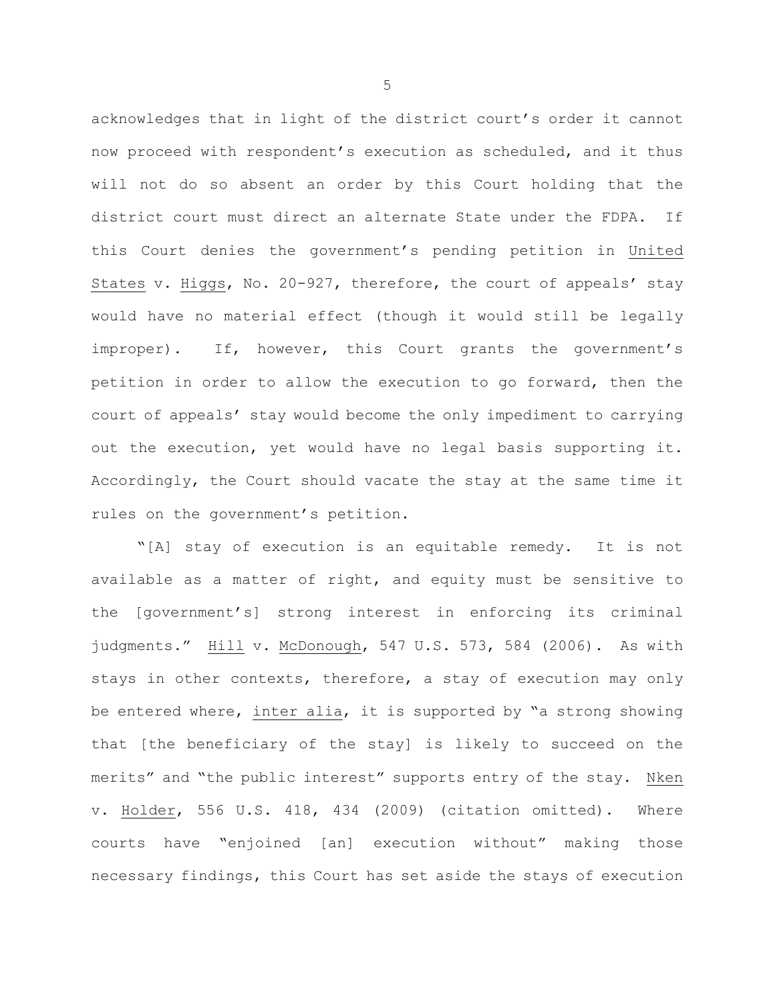acknowledges that in light of the district court's order it cannot now proceed with respondent's execution as scheduled, and it thus will not do so absent an order by this Court holding that the district court must direct an alternate State under the FDPA. If this Court denies the government's pending petition in United States v. Higgs, No. 20-927, therefore, the court of appeals' stay would have no material effect (though it would still be legally improper). If, however, this Court grants the government's petition in order to allow the execution to go forward, then the court of appeals' stay would become the only impediment to carrying out the execution, yet would have no legal basis supporting it. Accordingly, the Court should vacate the stay at the same time it rules on the government's petition.

"[A] stay of execution is an equitable remedy. It is not available as a matter of right, and equity must be sensitive to the [government's] strong interest in enforcing its criminal judgments." Hill v. McDonough, 547 U.S. 573, 584 (2006). As with stays in other contexts, therefore, a stay of execution may only be entered where, inter alia, it is supported by "a strong showing that [the beneficiary of the stay] is likely to succeed on the merits" and "the public interest" supports entry of the stay. Nken v. Holder, 556 U.S. 418, 434 (2009) (citation omitted). Where courts have "enjoined [an] execution without" making those necessary findings, this Court has set aside the stays of execution